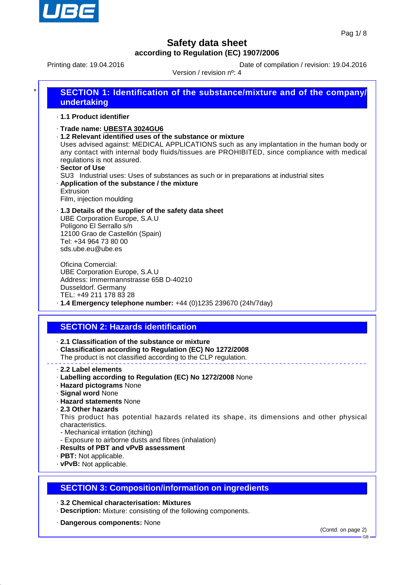

Printing date: 19.04.2016 **Date of compilation / revision: 19.04.2016** 

Version / revision nº: 4

| SECTION 1: Identification of the substance/mixture and of the company/<br>undertaking |
|---------------------------------------------------------------------------------------|
| 1.1 Product identifier                                                                |

- · **Trade name: UBESTA 3024GU6**
- · **1.2 Relevant identified uses of the substance or mixture**

Uses advised against: MEDICAL APPLICATIONS such as any implantation in the human body or any contact with internal body fluids/tissues are PROHIBITED, since compliance with medical regulations is not assured.

· **Sector of Use** SU3 Industrial uses: Uses of substances as such or in preparations at industrial sites · **Application of the substance / the mixture** Extrusion

Film, injection moulding

· **1.3 Details of the supplier of the safety data sheet** UBE Corporation Europe, S.A.U Polígono El Serrallo s/n 12100 Grao de Castellón (Spain) Tel: +34 964 73 80 00 sds.ube.eu@ube.es

Oficina Comercial: UBE Corporation Europe, S.A.U Address: Immermannstrasse 65B D-40210 Dusseldorf. Germany TEL: +49 211 178 83 28

· **1.4 Emergency telephone number:** +44 (0)1235 239670 (24h/7day)

### **SECTION 2: Hazards identification**

· **2.1 Classification of the substance or mixture**

· **Classification according to Regulation (EC) No 1272/2008**

The product is not classified according to the CLP regulation.

- · **2.2 Label elements**
- · **Labelling according to Regulation (EC) No 1272/2008** None
- · **Hazard pictograms** None
- · **Signal word** None
- · **Hazard statements** None
- · **2.3 Other hazards**

This product has potential hazards related its shape, its dimensions and other physical characteristics.

- Mechanical irritation (itching)
- Exposure to airborne dusts and fibres (inhalation)
- · **Results of PBT and vPvB assessment**
- · **PBT:** Not applicable.
- · **vPvB:** Not applicable.

### **SECTION 3: Composition/information on ingredients**

- · **3.2 Chemical characterisation: Mixtures**
- · **Description:** Mixture: consisting of the following components.
- · **Dangerous components:** None

(Contd. on page 2)

GB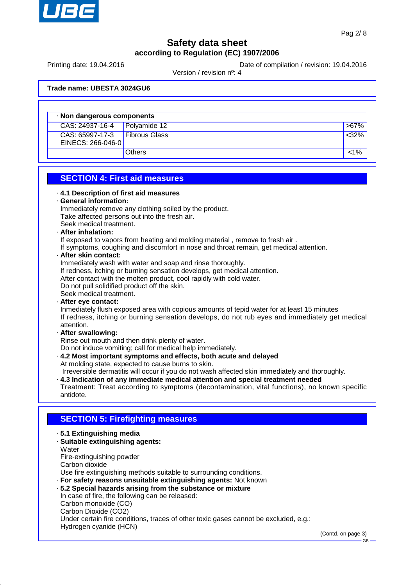

Printing date: 19.04.2016 **Date of compilation / revision: 19.04.2016** 

Version / revision nº: 4

**Trade name: UBESTA 3024GU6**

| · Non dangerous components                   |                      |         |  |  |
|----------------------------------------------|----------------------|---------|--|--|
| $\overline{CAS}$ : 24937-16-4   Polyamide 12 |                      | $>67\%$ |  |  |
| CAS: 65997-17-3<br>EINECS: 266-046-0         | <b>Fibrous Glass</b> | <32%    |  |  |
|                                              | <b>Others</b>        | 1%>     |  |  |

### **SECTION 4: First aid measures**

| 4.1 Description of first aid measures<br>General information: |  |  |
|---------------------------------------------------------------|--|--|
|                                                               |  |  |
| Take affected persons out into the fresh air.                 |  |  |
| Seek medical treatment.                                       |  |  |
|                                                               |  |  |

#### · **After inhalation:**

If exposed to vapors from heating and molding material , remove to fresh air .

If symptoms, coughing and discomfort in nose and throat remain, get medical attention.

· **After skin contact:**

Immediately wash with water and soap and rinse thoroughly.

If redness, itching or burning sensation develops, get medical attention.

After contact with the molten product, cool rapidly with cold water.

Do not pull solidified product off the skin.

Seek medical treatment.

· **After eye contact:**

Inmediately flush exposed area with copious amounts of tepid water for at least 15 minutes If redness, itching or burning sensation develops, do not rub eyes and immediately get medical attention.

· **After swallowing:**

Rinse out mouth and then drink plenty of water.

Do not induce vomiting; call for medical help immediately.

· **4.2 Most important symptoms and effects, both acute and delayed** At molding state, expected to cause burns to skin.

Irreversible dermatitis will occur if you do not wash affected skin immediately and thoroughly.

· **4.3 Indication of any immediate medical attention and special treatment needed**

Treatment: Treat according to symptoms (decontamination, vital functions), no known specific antidote.

### **SECTION 5: Firefighting measures**

- · **5.1 Extinguishing media**
- · **Suitable extinguishing agents: Water** Fire-extinguishing powder Carbon dioxide

Use fire extinguishing methods suitable to surrounding conditions.

· **For safety reasons unsuitable extinguishing agents:** Not known

· **5.2 Special hazards arising from the substance or mixture** In case of fire, the following can be released: Carbon monoxide (CO) Carbon Dioxide (CO2) Under certain fire conditions, traces of other toxic gases cannot be excluded, e.g.: Hydrogen cyanide (HCN)

(Contd. on page 3)

GB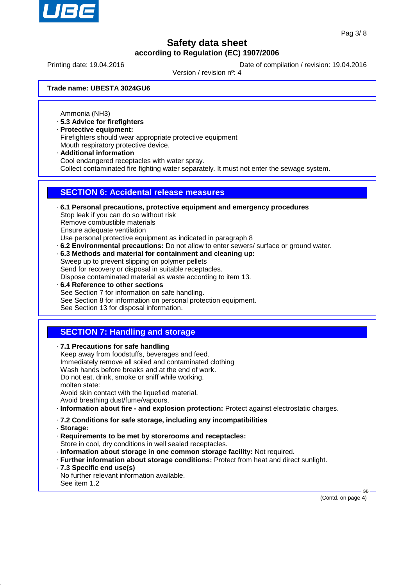

Printing date: 19.04.2016 **Date of compilation / revision: 19.04.2016** 

Version / revision nº: 4

**Trade name: UBESTA 3024GU6**

Ammonia (NH3)

- · **5.3 Advice for firefighters**
- · **Protective equipment:**
- Firefighters should wear appropriate protective equipment Mouth respiratory protective device.
- · **Additional information** Cool endangered receptacles with water spray. Collect contaminated fire fighting water separately. It must not enter the sewage system.

### **SECTION 6: Accidental release measures**

- · **6.1 Personal precautions, protective equipment and emergency procedures** Stop leak if you can do so without risk Remove combustible materials Ensure adequate ventilation Use personal protective equipment as indicated in paragraph 8 · **6.2 Environmental precautions:** Do not allow to enter sewers/ surface or ground water.
- · **6.3 Methods and material for containment and cleaning up:** Sweep up to prevent slipping on polymer pellets Send for recovery or disposal in suitable receptacles. Dispose contaminated material as waste according to item 13.
- · **6.4 Reference to other sections** See Section 7 for information on safe handling. See Section 8 for information on personal protection equipment. See Section 13 for disposal information.

## **SECTION 7: Handling and storage**

· **7.1 Precautions for safe handling** Keep away from foodstuffs, beverages and feed. Immediately remove all soiled and contaminated clothing

Wash hands before breaks and at the end of work. Do not eat, drink, smoke or sniff while working. molten state:

Avoid skin contact with the liquefied material.

Avoid breathing dust/fume/vapours.

- · **Information about fire and explosion protection:** Protect against electrostatic charges.
- · **7.2 Conditions for safe storage, including any incompatibilities**
- · **Storage:**
- · **Requirements to be met by storerooms and receptacles:** Store in cool, dry conditions in well sealed receptacles.
- · **Information about storage in one common storage facility:** Not required.
- · **Further information about storage conditions:** Protect from heat and direct sunlight.
- · **7.3 Specific end use(s)**

No further relevant information available. See item 1.2

(Contd. on page 4)

GB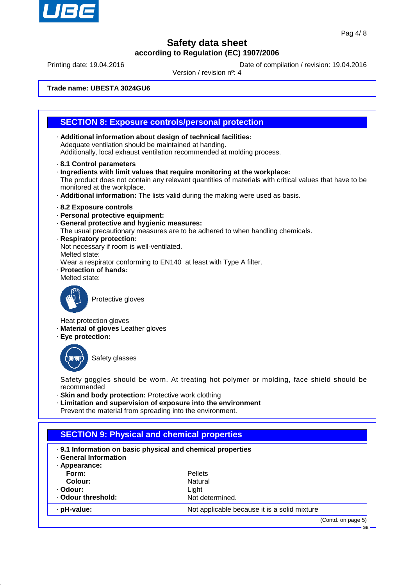

Printing date: 19.04.2016 **Date of compilation / revision: 19.04.2016** 

Version / revision nº: 4

**Trade name: UBESTA 3024GU6**

### **SECTION 8: Exposure controls/personal protection**

- · **Additional information about design of technical facilities:** Adequate ventilation should be maintained at handing. Additionally, local exhaust ventilation recommended at molding process.
- · **8.1 Control parameters**
- · **Ingredients with limit values that require monitoring at the workplace:** The product does not contain any relevant quantities of materials with critical values that have to be monitored at the workplace.
- · **Additional information:** The lists valid during the making were used as basis.
- · **8.2 Exposure controls**
- · **Personal protective equipment:**
- · **General protective and hygienic measures:**
- The usual precautionary measures are to be adhered to when handling chemicals.
- · **Respiratory protection:**

Not necessary if room is well-ventilated.

Melted state:

Wear a respirator conforming to EN140 at least with Type A filter.

- · **Protection of hands:**
- Melted state:



Protective gloves

Heat protection gloves

- · **Material of gloves** Leather gloves
- · **Eye protection:**



Safety glasses

Safety goggles should be worn. At treating hot polymer or molding, face shield should be recommended

- · **Skin and body protection:** Protective work clothing
- · **Limitation and supervision of exposure into the environment**
- Prevent the material from spreading into the environment.

### **SECTION 9: Physical and chemical properties** · **9.1 Information on basic physical and chemical properties** · **General Information** · **Appearance: Form:** Pellets **Colour:** Natural · **Odour:** Light · Odour threshold: Not determined. · **pH-value:** Not applicable because it is a solid mixture (Contd. on page 5)

GB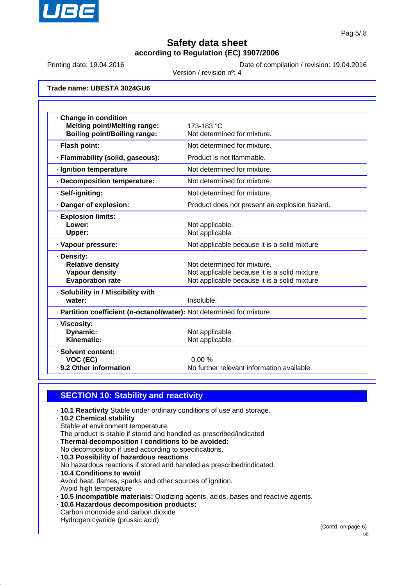

Printing date: 19.04.2016 **Date of compilation / revision: 19.04.2016** 

Version / revision nº: 4

**Trade name: UBESTA 3024GU6**

| · Change in condition<br><b>Melting point/Melting range:</b>           | 173-183 °C                                    |
|------------------------------------------------------------------------|-----------------------------------------------|
| <b>Boiling point/Boiling range:</b>                                    | Not determined for mixture.                   |
| · Flash point:                                                         | Not determined for mixture.                   |
| · Flammability (solid, gaseous):                                       | Product is not flammable.                     |
| · Ignition temperature                                                 | Not determined for mixture.                   |
| · Decomposition temperature:                                           | Not determined for mixture.                   |
| · Self-igniting:                                                       | Not determined for mixture.                   |
| · Danger of explosion:                                                 | Product does not present an explosion hazard. |
| · Explosion limits:                                                    |                                               |
| Lower:                                                                 | Not applicable.                               |
| Upper:                                                                 | Not applicable.                               |
| · Vapour pressure:                                                     | Not applicable because it is a solid mixture  |
| · Density:                                                             |                                               |
| <b>Relative density</b>                                                | Not determined for mixture.                   |
| <b>Vapour density</b>                                                  | Not applicable because it is a solid mixture  |
| <b>Evaporation rate</b>                                                | Not applicable because it is a solid mixture  |
| · Solubility in / Miscibility with                                     |                                               |
| water:                                                                 | Insoluble.                                    |
| · Partition coefficient (n-octanol/water): Not determined for mixture. |                                               |
| · Viscosity:                                                           |                                               |
| Dynamic:                                                               | Not applicable.                               |
| Kinematic:                                                             | Not applicable.                               |
| · Solvent content:                                                     |                                               |
| VOC (EC)                                                               | 0.00%                                         |
| · 9.2 Other information                                                | No further relevant information available.    |

### **SECTION 10: Stability and reactivity**

- · **10.1 Reactivity** Stable under ordinary conditions of use and storage.
- · **10.2 Chemical stability**
- Stable at environment temperature.
- The product is stable if stored and handled as prescribed/indicated
- · **Thermal decomposition / conditions to be avoided:** No decomposition if used according to specifications.
- · **10.3 Possibility of hazardous reactions**
- No hazardous reactions if stored and handled as prescribed/indicated.
- · **10.4 Conditions to avoid** Avoid heat, flames, sparks and other sources of ignition. Avoid high temperature
- · **10.5 Incompatible materials:** Oxidizing agents, acids, bases and reactive agents.
- · **10.6 Hazardous decomposition products:**
- Carbon monoxide and carbon dioxide
- Hydrogen cyanide (prussic acid)

(Contd. on page 6)

GB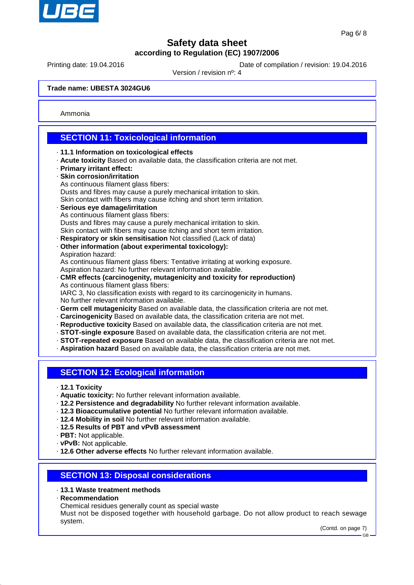

Printing date: 19.04.2016 **Date of compilation / revision: 19.04.2016** 

Version / revision nº: 4

**Trade name: UBESTA 3024GU6**

Ammonia

### **SECTION 11: Toxicological information**

- · **11.1 Information on toxicological effects**
- · **Acute toxicity** Based on available data, the classification criteria are not met.
- · **Primary irritant effect:**
- · **Skin corrosion/irritation**
- As continuous filament glass fibers: Dusts and fibres may cause a purely mechanical irritation to skin. Skin contact with fibers may cause itching and short term irritation. · **Serious eye damage/irritation** As continuous filament glass fibers:

Dusts and fibres may cause a purely mechanical irritation to skin. Skin contact with fibers may cause itching and short term irritation.

- · **Respiratory or skin sensitisation** Not classified (Lack of data)
- · **Other information (about experimental toxicology):** Aspiration hazard: As continuous filament glass fibers: Tentative irritating at working exposure.

Aspiration hazard: No further relevant information available.

· **CMR effects (carcinogenity, mutagenicity and toxicity for reproduction)** As continuous filament glass fibers: IARC 3, No classification exists with regard to its carcinogenicity in humans.

No further relevant information available.

- · **Germ cell mutagenicity** Based on available data, the classification criteria are not met.
- · **Carcinogenicity** Based on available data, the classification criteria are not met.
- · **Reproductive toxicity** Based on available data, the classification criteria are not met.
- · **STOT-single exposure** Based on available data, the classification criteria are not met.
- · **STOT-repeated exposure** Based on available data, the classification criteria are not met.
- · **Aspiration hazard** Based on available data, the classification criteria are not met.

### **SECTION 12: Ecological information**

- · **12.1 Toxicity**
- · **Aquatic toxicity:** No further relevant information available.
- · **12.2 Persistence and degradability** No further relevant information available.
- · **12.3 Bioaccumulative potential** No further relevant information available.
- · **12.4 Mobility in soil** No further relevant information available.
- · **12.5 Results of PBT and vPvB assessment**
- · **PBT:** Not applicable.
- · **vPvB:** Not applicable.
- · **12.6 Other adverse effects** No further relevant information available.

### **SECTION 13: Disposal considerations**

#### · **13.1 Waste treatment methods**

- · **Recommendation**
- Chemical residues generally count as special waste

Must not be disposed together with household garbage. Do not allow product to reach sewage system.

(Contd. on page 7)

GB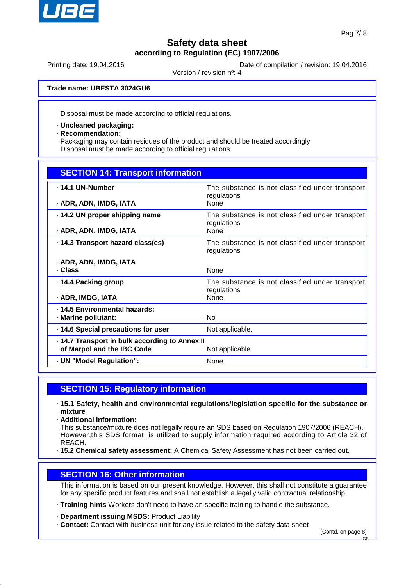

Printing date: 19.04.2016 **Date of compilation / revision: 19.04.2016** 

Version / revision nº: 4

**Trade name: UBESTA 3024GU6**

Disposal must be made according to official regulations.

· **Uncleaned packaging:**

· **Recommendation:**

Packaging may contain residues of the product and should be treated accordingly. Disposal must be made according to official regulations.

| <b>SECTION 14: Transport information</b>             |                                                                |  |  |
|------------------------------------------------------|----------------------------------------------------------------|--|--|
| ⋅ 14.1 UN-Number                                     | The substance is not classified under transport<br>regulations |  |  |
| · ADR, ADN, IMDG, IATA                               | None                                                           |  |  |
| .14.2 UN proper shipping name                        | The substance is not classified under transport<br>regulations |  |  |
| · ADR, ADN, IMDG, IATA                               | None                                                           |  |  |
| .14.3 Transport hazard class(es)                     | The substance is not classified under transport<br>regulations |  |  |
| · ADR, ADN, IMDG, IATA<br>· Class                    | <b>None</b>                                                    |  |  |
| ⋅ 14.4 Packing group                                 | The substance is not classified under transport<br>regulations |  |  |
| · ADR, IMDG, IATA                                    | None                                                           |  |  |
| . 14.5 Environmental hazards:<br>· Marine pollutant: | No.                                                            |  |  |
| · 14.6 Special precautions for user                  | Not applicable.                                                |  |  |
| .14.7 Transport in bulk according to Annex II        |                                                                |  |  |
| of Marpol and the IBC Code                           | Not applicable.                                                |  |  |
| · UN "Model Regulation":                             | None                                                           |  |  |

### **SECTION 15: Regulatory information**

- · **15.1 Safety, health and environmental regulations/legislation specific for the substance or mixture**
- · **Additional Information:**

This substance/mixture does not legally require an SDS based on Regulation 1907/2006 (REACH). However,this SDS format, is utilized to supply information required according to Article 32 of REACH.

· **15.2 Chemical safety assessment:** A Chemical Safety Assessment has not been carried out.

### **SECTION 16: Other information**

This information is based on our present knowledge. However, this shall not constitute a guarantee for any specific product features and shall not establish a legally valid contractual relationship.

· **Training hints** Workers don't need to have an specific training to handle the substance.

· **Department issuing MSDS:** Product Liability

· **Contact:** Contact with business unit for any issue related to the safety data sheet

(Contd. on page 8)

GB